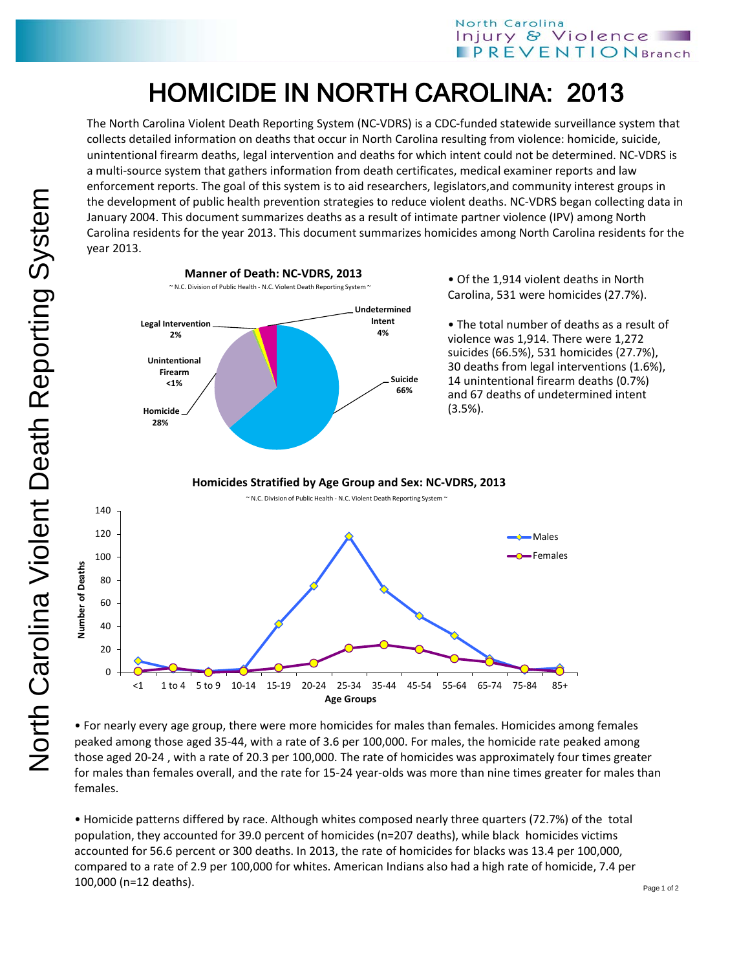## HOMICIDE IN NORTH CAROLINA: 2013

The North Carolina Violent Death Reporting System (NC-VDRS) is a CDC-funded statewide surveillance system that collects detailed information on deaths that occur in North Carolina resulting from violence: homicide, suicide, unintentional firearm deaths, legal intervention and deaths for which intent could not be determined. NC-VDRS is a multi-source system that gathers information from death certificates, medical examiner reports and law enforcement reports. The goal of this system is to aid researchers, legislators,and community interest groups in the development of public health prevention strategies to reduce violent deaths. NC-VDRS began collecting data in January 2004. This document summarizes deaths as a result of intimate partner violence (IPV) among North Carolina residents for the year 2013. This document summarizes homicides among North Carolina residents for the year 2013.



• For nearly every age group, there were more homicides for males than females. Homicides among females peaked among those aged 35-44, with a rate of 3.6 per 100,000. For males, the homicide rate peaked among those aged 20-24 , with a rate of 20.3 per 100,000. The rate of homicides was approximately four times greater for males than females overall, and the rate for 15-24 year-olds was more than nine times greater for males than females.

• Homicide patterns differed by race. Although whites composed nearly three quarters (72.7%) of the total population, they accounted for 39.0 percent of homicides (n=207 deaths), while black homicides victims accounted for 56.6 percent or 300 deaths. In 2013, the rate of homicides for blacks was 13.4 per 100,000, compared to a rate of 2.9 per 100,000 for whites. American Indians also had a high rate of homicide, 7.4 per 100,000 (n=12 deaths).

**Number of Deaths**

**Number of Deaths**